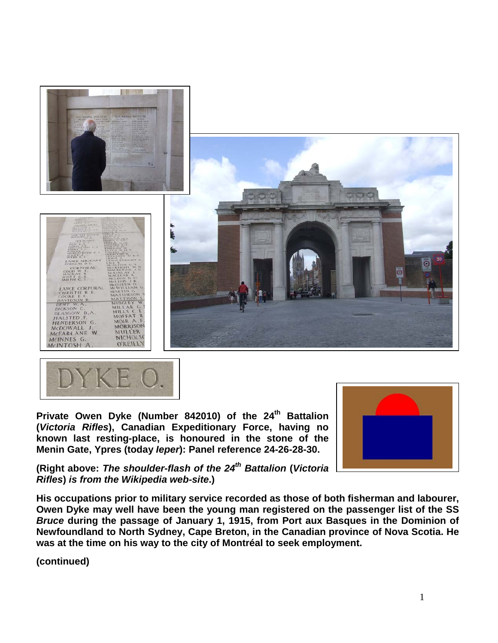



Private Owen Dyke (Number 842010) of the 24<sup>th</sup> Battalion **(***Victoria Rifles***), Canadian Expeditionary Force, having no known last resting-place, is honoured in the stone of the Menin Gate, Ypres (today** *Ieper***): Panel reference 24-26-28-30.**



**(Right above:** *The shoulder-flash of the 24th Battalion* **(***Victoria Rifles***)** *is from the Wikipedia web-site***.)**

**His occupations prior to military service recorded as those of both fisherman and labourer, Owen Dyke may well have been the young man registered on the passenger list of the SS**  *Bruce* **during the passage of January 1, 1915, from Port aux Basques in the Dominion of Newfoundland to North Sydney, Cape Breton, in the Canadian province of Nova Scotia. He was at the time on his way to the city of Montréal to seek employment.**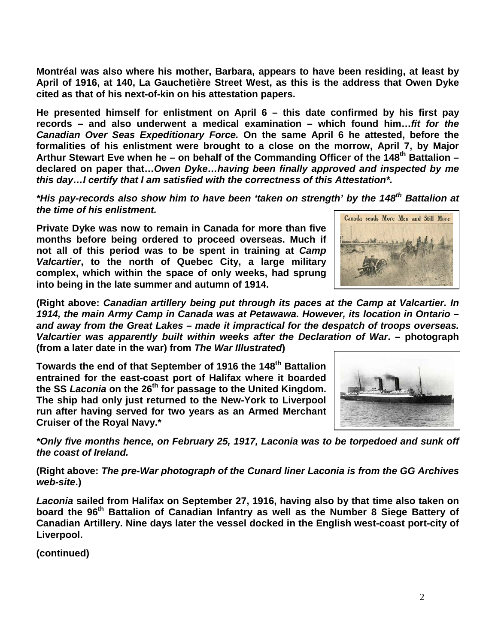**(Right above:** *The pre-War photograph of the Cunard liner Laconia is from the GG Archives web-site***.)**

*Laconia* **sailed from Halifax on September 27, 1916, having also by that time also taken on board the 96th Battalion of Canadian Infantry as well as the Number 8 Siege Battery of Canadian Artillery. Nine days later the vessel docked in the English west-coast port-city of** 

**entrained for the east-coast port of Halifax where it boarded the SS** *Laconia* **on the 26th for passage to the United Kingdom. The ship had only just returned to the New-York to Liverpool run after having served for two years as an Armed Merchant Cruiser of the Royal Navy.\*** *\*Only five months hence, on February 25, 1917, Laconia was to be torpedoed and sunk off*

**Towards the end of that September of 1916 the 148th Battalion** 

**(Right above:** *Canadian artillery being put through its paces at the Camp at Valcartier. In 1914, the main Army Camp in Canada was at Petawawa. However, its location in Ontario – and away from the Great Lakes – made it impractical for the despatch of troops overseas. Valcartier was apparently built within weeks after the Declaration of War***. – photograph (from a later date in the war) from** *The War Illustrated***)** 

**Private Dyke was now to remain in Canada for more than five months before being ordered to proceed overseas. Much if not all of this period was to be spent in training at** *Camp Valcartier***, to the north of Quebec City, a large military complex, which within the space of only weeks, had sprung into being in the late summer and autumn of 1914.**

*\*His pay-records also show him to have been 'taken on strength' by the 148th Battalion at the time of his enlistment.*

**Montréal was also where his mother, Barbara, appears to have been residing, at least by April of 1916, at 140, La Gauchetière Street West, as this is the address that Owen Dyke** 

**cited as that of his next-of-kin on his attestation papers. He presented himself for enlistment on April 6 – this date confirmed by his first pay records – and also underwent a medical examination – which found him…***fit for the Canadian Over Seas Expeditionary Force.* **On the same April 6 he attested, before the** 

**formalities of his enlistment were brought to a close on the morrow, April 7, by Major Arthur Stewart Eve when he – on behalf of the Commanding Officer of the 148th Battalion – declared on paper that…***Owen Dyke…having been finally approved and inspected by me* 

*this day…I certify that I am satisfied with the correctness of this Attestation\*.*



**(continued)**

**Liverpool.**

*the coast of Ireland.*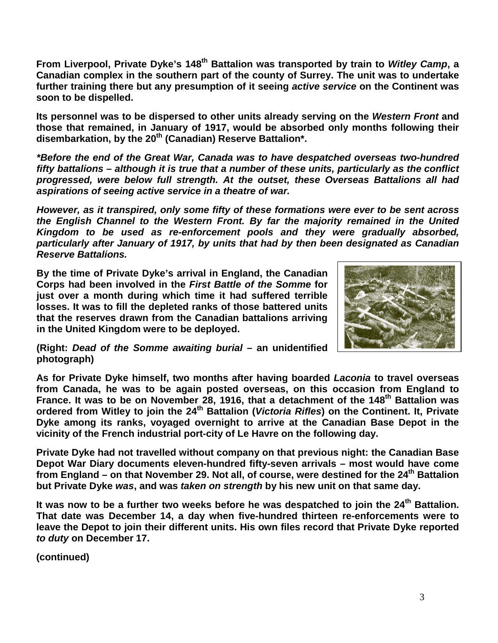**From Liverpool, Private Dyke's 148th Battalion was transported by train to** *Witley Camp***, a Canadian complex in the southern part of the county of Surrey. The unit was to undertake further training there but any presumption of it seeing** *active service* **on the Continent was soon to be dispelled.** 

**Its personnel was to be dispersed to other units already serving on the** *Western Front* **and those that remained, in January of 1917, would be absorbed only months following their disembarkation, by the 20th (Canadian) Reserve Battalion\*.**

*\*Before the end of the Great War, Canada was to have despatched overseas two-hundred fifty battalions – although it is true that a number of these units, particularly as the conflict progressed, were below full strength. At the outset, these Overseas Battalions all had aspirations of seeing active service in a theatre of war.*

*However, as it transpired, only some fifty of these formations were ever to be sent across the English Channel to the Western Front. By far the majority remained in the United Kingdom to be used as re-enforcement pools and they were gradually absorbed, particularly after January of 1917, by units that had by then been designated as Canadian Reserve Battalions.*

**By the time of Private Dyke's arrival in England, the Canadian Corps had been involved in the** *First Battle of the Somme* **for just over a month during which time it had suffered terrible losses. It was to fill the depleted ranks of those battered units that the reserves drawn from the Canadian battalions arriving in the United Kingdom were to be deployed.**



**(Right:** *Dead of the Somme awaiting burial* **– an unidentified photograph)**

**As for Private Dyke himself, two months after having boarded** *Laconia* **to travel overseas from Canada, he was to be again posted overseas, on this occasion from England to France. It was to be on November 28, 1916, that a detachment of the 148th Battalion was ordered from Witley to join the 24th Battalion (***Victoria Rifles***) on the Continent. It, Private Dyke among its ranks, voyaged overnight to arrive at the Canadian Base Depot in the vicinity of the French industrial port-city of Le Havre on the following day.** 

**Private Dyke had not travelled without company on that previous night: the Canadian Base Depot War Diary documents eleven-hundred fifty-seven arrivals – most would have come**  from England – on that November 29. Not all, of course, were destined for the 24<sup>th</sup> Battalion **but Private Dyke** *was***, and was** *taken on strength* **by his new unit on that same day.**

**It was now to be a further two weeks before he was despatched to join the 24th Battalion. That date was December 14, a day when five-hundred thirteen re-enforcements were to leave the Depot to join their different units. His own files record that Private Dyke reported**  *to duty* **on December 17.**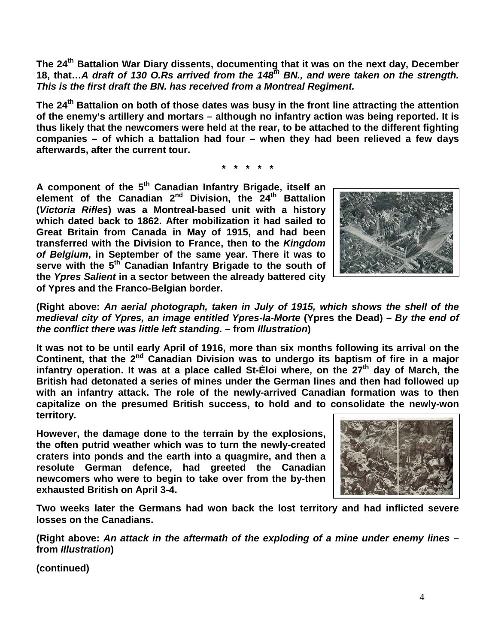**The 24th Battalion War Diary dissents, documenting that it was on the next day, December 18, that…***A draft of 130 O.Rs arrived from the 148th BN., and were taken on the strength. This is the first draft the BN. has received from a Montreal Regiment.*

**The 24th Battalion on both of those dates was busy in the front line attracting the attention of the enemy's artillery and mortars – although no infantry action was being reported. It is thus likely that the newcomers were held at the rear, to be attached to the different fighting companies – of which a battalion had four – when they had been relieved a few days afterwards, after the current tour.**

**\* \* \* \* \***

**A component of the 5th Canadian Infantry Brigade, itself an element of the Canadian 2nd Division, the 24th Battalion (***Victoria Rifles***) was a Montreal-based unit with a history which dated back to 1862. After mobilization it had sailed to Great Britain from Canada in May of 1915, and had been transferred with the Division to France, then to the** *Kingdom of Belgium***, in September of the same year. There it was to serve with the 5th Canadian Infantry Brigade to the south of the** *Ypres Salient* **in a sector between the already battered city of Ypres and the Franco-Belgian border.**



**(Right above:** *An aerial photograph, taken in July of 1915, which shows the shell of the medieval city of Ypres, an image entitled Ypres-la-Morte* **(Ypres the Dead)** *– By the end of the conflict there was little left standing. –* **from** *Illustration***)**

**It was not to be until early April of 1916, more than six months following its arrival on the Continent, that the 2nd Canadian Division was to undergo its baptism of fire in a major**  infantry operation. It was at a place called St-Eloi where, on the 27<sup>th</sup> day of March, the **British had detonated a series of mines under the German lines and then had followed up with an infantry attack. The role of the newly-arrived Canadian formation was to then capitalize on the presumed British success, to hold and to consolidate the newly-won territory.**

**However, the damage done to the terrain by the explosions, the often putrid weather which was to turn the newly-created craters into ponds and the earth into a quagmire, and then a resolute German defence, had greeted the Canadian newcomers who were to begin to take over from the by-then exhausted British on April 3-4.** 



**Two weeks later the Germans had won back the lost territory and had inflicted severe losses on the Canadians.**

**(Right above:** *An attack in the aftermath of the exploding of a mine under enemy lines* **– from** *Illustration***)**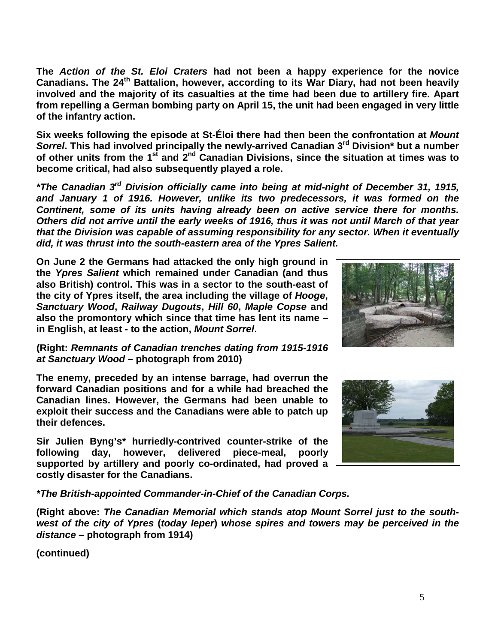5

**The** *Action of the St. Eloi Craters* **had not been a happy experience for the novice**  Canadians. The 24<sup>th</sup> Battalion, however, according to its War Diary, had not been heavily **involved and the majority of its casualties at the time had been due to artillery fire. Apart from repelling a German bombing party on April 15, the unit had been engaged in very little of the infantry action.**

**Six weeks following the episode at St-Éloi there had then been the confrontation at** *Mount Sorrel***. This had involved principally the newly-arrived Canadian 3rd Division\* but a number of other units from the 1st and 2nd Canadian Divisions, since the situation at times was to become critical, had also subsequently played a role.**

*\*The Canadian 3rd Division officially came into being at mid-night of December 31, 1915, and January 1 of 1916. However, unlike its two predecessors, it was formed on the Continent, some of its units having already been on active service there for months. Others did not arrive until the early weeks of 1916, thus it was not until March of that year that the Division was capable of assuming responsibility for any sector. When it eventually did, it was thrust into the south-eastern area of the Ypres Salient.*

**On June 2 the Germans had attacked the only high ground in the** *Ypres Salient* **which remained under Canadian (and thus also British) control. This was in a sector to the south-east of the city of Ypres itself, the area including the village of** *Hooge***,**  *Sanctuary Wood***,** *Railway Dugouts***,** *Hill 60***,** *Maple Copse* **and also the promontory which since that time has lent its name – in English, at least - to the action,** *Mount Sorrel***.**

**(Right:** *Remnants of Canadian trenches dating from 1915-1916 at Sanctuary Wood* **– photograph from 2010)**

**The enemy, preceded by an intense barrage, had overrun the forward Canadian positions and for a while had breached the Canadian lines. However, the Germans had been unable to exploit their success and the Canadians were able to patch up their defences.** 

**Sir Julien Byng's\* hurriedly-contrived counter-strike of the following day, however, delivered piece-meal, poorly supported by artillery and poorly co-ordinated, had proved a costly disaster for the Canadians.**

*\*The British-appointed Commander-in-Chief of the Canadian Corps.*

**(Right above:** *The Canadian Memorial which stands atop Mount Sorrel just to the southwest of the city of Ypres* **(***today Ieper***)** *whose spires and towers may be perceived in the distance* **– photograph from 1914)**



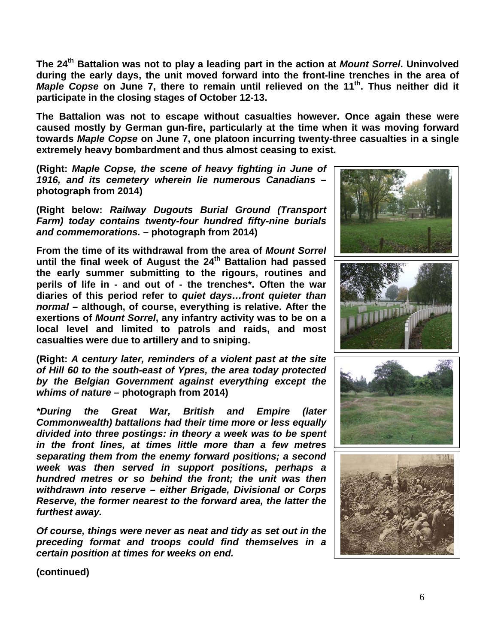**The 24th Battalion was not to play a leading part in the action at** *Mount Sorrel***. Uninvolved during the early days, the unit moved forward into the front-line trenches in the area of**  *Maple Copse* on June 7, there to remain until relieved on the 11<sup>th</sup>. Thus neither did it **participate in the closing stages of October 12-13.**

**The Battalion was not to escape without casualties however. Once again these were caused mostly by German gun-fire, particularly at the time when it was moving forward towards** *Maple Copse* **on June 7, one platoon incurring twenty-three casualties in a single extremely heavy bombardment and thus almost ceasing to exist.**

**(Right:** *Maple Copse, the scene of heavy fighting in June of 1916, and its cemetery wherein lie numerous Canadians* **– photograph from 2014)**

**(Right below:** *Railway Dugouts Burial Ground (Transport Farm) today contains twenty-four hundred fifty-nine burials and commemorations.* **– photograph from 2014)**

**From the time of its withdrawal from the area of** *Mount Sorrel* **until the final week of August the 24th Battalion had passed the early summer submitting to the rigours, routines and perils of life in - and out of - the trenches\*. Often the war diaries of this period refer to** *quiet days…front quieter than normal* **– although, of course, everything is relative. After the exertions of** *Mount Sorrel***, any infantry activity was to be on a local level and limited to patrols and raids, and most casualties were due to artillery and to sniping.**

**(Right:** *A century later, reminders of a violent past at the site of Hill 60 to the south-east of Ypres, the area today protected by the Belgian Government against everything except the whims of nature* **– photograph from 2014)**

*\*During the Great War, British and Empire (later Commonwealth) battalions had their time more or less equally divided into three postings: in theory a week was to be spent in the front lines, at times little more than a few metres separating them from the enemy forward positions; a second week was then served in support positions, perhaps a hundred metres or so behind the front; the unit was then withdrawn into reserve – either Brigade, Divisional or Corps Reserve, the former nearest to the forward area, the latter the furthest away.* 

*Of course, things were never as neat and tidy as set out in the preceding format and troops could find themselves in a certain position at times for weeks on end.*

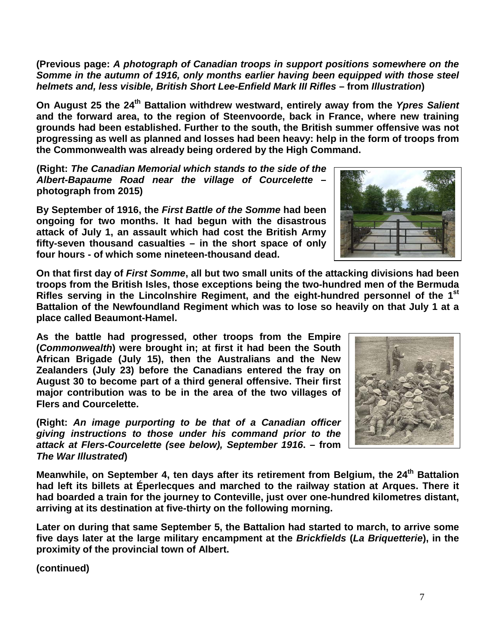**(Previous page:** *A photograph of Canadian troops in support positions somewhere on the Somme in the autumn of 1916, only months earlier having been equipped with those steel helmets and, less visible, British Short Lee-Enfield Mark III Rifles* **– from** *Illustration***)**

**On August 25 the 24th Battalion withdrew westward, entirely away from the** *Ypres Salient* **and the forward area, to the region of Steenvoorde, back in France, where new training grounds had been established. Further to the south, the British summer offensive was not progressing as well as planned and losses had been heavy: help in the form of troops from the Commonwealth was already being ordered by the High Command.**

**(Right:** *The Canadian Memorial which stands to the side of the Albert-Bapaume Road near the village of Courcelette* **– photograph from 2015)**

**By September of 1916, the** *First Battle of the Somme* **had been ongoing for two months. It had begun with the disastrous attack of July 1, an assault which had cost the British Army fifty-seven thousand casualties – in the short space of only four hours - of which some nineteen-thousand dead.** 

**On that first day of** *First Somme***, all but two small units of the attacking divisions had been troops from the British Isles, those exceptions being the two-hundred men of the Bermuda Rifles serving in the Lincolnshire Regiment, and the eight-hundred personnel of the 1st Battalion of the Newfoundland Regiment which was to lose so heavily on that July 1 at a place called Beaumont-Hamel.**

**As the battle had progressed, other troops from the Empire (***Commonwealth***) were brought in; at first it had been the South African Brigade (July 15), then the Australians and the New Zealanders (July 23) before the Canadians entered the fray on August 30 to become part of a third general offensive. Their first major contribution was to be in the area of the two villages of Flers and Courcelette.**

**(Right:** *An image purporting to be that of a Canadian officer giving instructions to those under his command prior to the attack at Flers-Courcelette (see below), September 1916***. – from**  *The War Illustrated***)**

Meanwhile, on September 4, ten days after its retirement from Belgium, the 24<sup>th</sup> Battalion **had left its billets at Éperlecques and marched to the railway station at Arques. There it had boarded a train for the journey to Conteville, just over one-hundred kilometres distant, arriving at its destination at five-thirty on the following morning.**

**Later on during that same September 5, the Battalion had started to march, to arrive some five days later at the large military encampment at the** *Brickfields* **(***La Briquetterie***), in the proximity of the provincial town of Albert.**



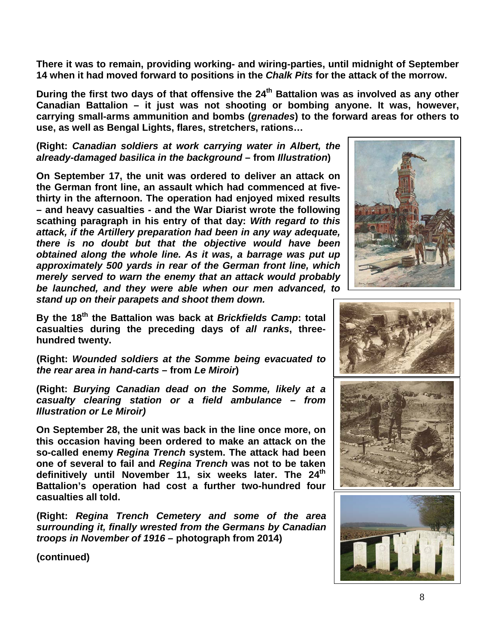**There it was to remain, providing working- and wiring-parties, until midnight of September 14 when it had moved forward to positions in the** *Chalk Pits* **for the attack of the morrow.**

During the first two days of that offensive the 24<sup>th</sup> Battalion was as involved as any other **Canadian Battalion – it just was not shooting or bombing anyone. It was, however, carrying small-arms ammunition and bombs (***grenades***) to the forward areas for others to use, as well as Bengal Lights, flares, stretchers, rations…**

## **(Right:** *Canadian soldiers at work carrying water in Albert, the already-damaged basilica in the background* **– from** *Illustration***)**

**On September 17, the unit was ordered to deliver an attack on the German front line, an assault which had commenced at fivethirty in the afternoon. The operation had enjoyed mixed results – and heavy casualties - and the War Diarist wrote the following scathing paragraph in his entry of that day:** *With regard to this attack, if the Artillery preparation had been in any way adequate, there is no doubt but that the objective would have been obtained along the whole line. As it was, a barrage was put up approximately 500 yards in rear of the German front line, which merely served to warn the enemy that an attack would probably be launched, and they were able when our men advanced, to stand up on their parapets and shoot them down.* 



**(Right:** *Wounded soldiers at the Somme being evacuated to the rear area in hand-carts* **– from** *Le Miroir***)**

**(Right:** *Burying Canadian dead on the Somme, likely at a casualty clearing station or a field ambulance – from Illustration or Le Miroir)*

**On September 28, the unit was back in the line once more, on this occasion having been ordered to make an attack on the so-called enemy** *Regina Trench* **system. The attack had been one of several to fail and** *Regina Trench* **was not to be taken definitively until November 11, six weeks later. The 24th Battalion's operation had cost a further two-hundred four casualties all told.**

**(Right:** *Regina Trench Cemetery and some of the area surrounding it, finally wrested from the Germans by Canadian troops in November of 1916* **– photograph from 2014)**



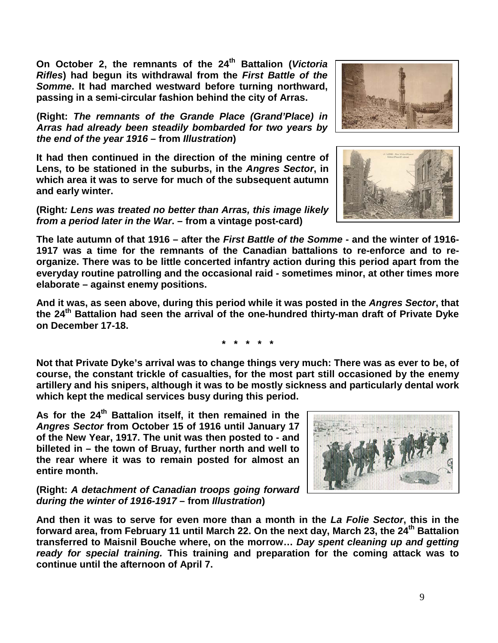**On October 2, the remnants of the 24th Battalion (***Victoria Rifles***) had begun its withdrawal from the** *First Battle of the Somme***. It had marched westward before turning northward, passing in a semi-circular fashion behind the city of Arras.** 

**(Right:** *The remnants of the Grande Place (Grand'Place) in Arras had already been steadily bombarded for two years by the end of the year 1916* **– from** *Illustration***)**

**It had then continued in the direction of the mining centre of Lens, to be stationed in the suburbs, in the** *Angres Sector***, in which area it was to serve for much of the subsequent autumn and early winter.**

**(Right***: Lens was treated no better than Arras, this image likely from a period later in the War***. – from a vintage post-card)**

**The late autumn of that 1916 – after the** *First Battle of the Somme* **- and the winter of 1916- 1917 was a time for the remnants of the Canadian battalions to re-enforce and to reorganize. There was to be little concerted infantry action during this period apart from the everyday routine patrolling and the occasional raid - sometimes minor, at other times more elaborate – against enemy positions.**

**And it was, as seen above, during this period while it was posted in the** *Angres Sector***, that the 24th Battalion had seen the arrival of the one-hundred thirty-man draft of Private Dyke on December 17-18.**

**\* \* \* \* \***

**Not that Private Dyke's arrival was to change things very much: There was as ever to be, of course, the constant trickle of casualties, for the most part still occasioned by the enemy artillery and his snipers, although it was to be mostly sickness and particularly dental work which kept the medical services busy during this period.** 

**As for the 24th Battalion itself, it then remained in the**  *Angres Sector* **from October 15 of 1916 until January 17 of the New Year, 1917. The unit was then posted to - and billeted in – the town of Bruay, further north and well to the rear where it was to remain posted for almost an entire month.**

**(Right:** *A detachment of Canadian troops going forward during the winter of 1916-1917* **– from** *Illustration***)**

**And then it was to serve for even more than a month in the** *La Folie Sector***, this in the**  forward area, from February 11 until March 22. On the next day, March 23, the 24<sup>th</sup> Battalion **transferred to Maisnil Bouche where, on the morrow…** *Day spent cleaning up and getting ready for special training.* **This training and preparation for the coming attack was to continue until the afternoon of April 7.**





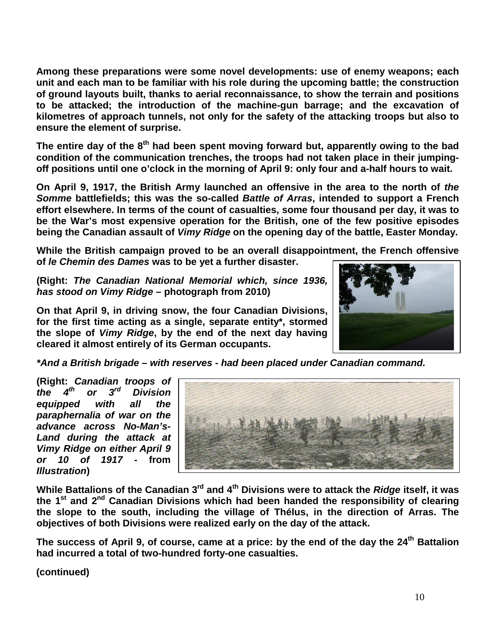**Among these preparations were some novel developments: use of enemy weapons; each unit and each man to be familiar with his role during the upcoming battle; the construction of ground layouts built, thanks to aerial reconnaissance, to show the terrain and positions to be attacked; the introduction of the machine-gun barrage; and the excavation of kilometres of approach tunnels, not only for the safety of the attacking troops but also to ensure the element of surprise.**

**The entire day of the 8th had been spent moving forward but, apparently owing to the bad condition of the communication trenches, the troops had not taken place in their jumpingoff positions until one o'clock in the morning of April 9: only four and a-half hours to wait.**

**On April 9, 1917, the British Army launched an offensive in the area to the north of** *the Somme* **battlefields; this was the so-called** *Battle of Arras***, intended to support a French effort elsewhere. In terms of the count of casualties, some four thousand per day, it was to be the War's most expensive operation for the British, one of the few positive episodes being the Canadian assault of** *Vimy Ridge* **on the opening day of the battle, Easter Monday.**

**While the British campaign proved to be an overall disappointment, the French offensive of** *le Chemin des Dames* **was to be yet a further disaster.** 

**(Right:** *The Canadian National Memorial which, since 1936, has stood on Vimy Ridge* **– photograph from 2010)**

**On that April 9, in driving snow, the four Canadian Divisions, for the first time acting as a single, separate entity\*, stormed the slope of** *Vimy Ridge***, by the end of the next day having cleared it almost entirely of its German occupants.**



*\*And a British brigade – with reserves - had been placed under Canadian command.*

**(Right:** *Canadian troops of the 4th or 3rd Division equipped with all the paraphernalia of war on the advance across No-Man's-Land during the attack at Vimy Ridge on either April 9 or 10 of 1917* **- from**  *Illustration***)**



**While Battalions of the Canadian 3rd and 4th Divisions were to attack the** *Ridge* **itself, it was the 1st and 2nd Canadian Divisions which had been handed the responsibility of clearing the slope to the south, including the village of Thélus, in the direction of Arras. The objectives of both Divisions were realized early on the day of the attack.**

The success of April 9, of course, came at a price: by the end of the day the 24<sup>th</sup> Battalion **had incurred a total of two-hundred forty-one casualties.**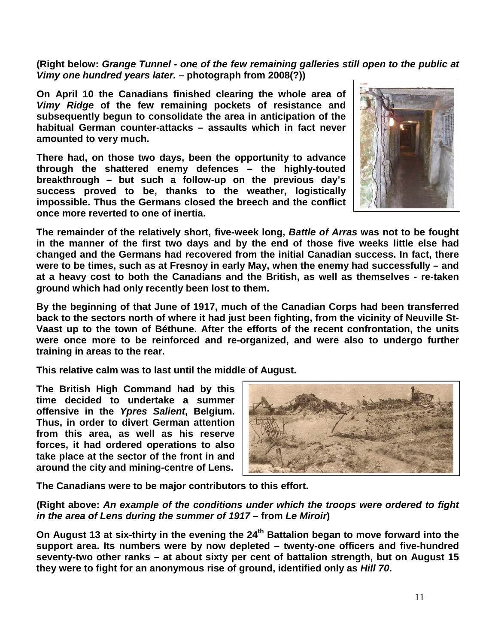**(Right below:** *Grange Tunnel - one of the few remaining galleries still open to the public at Vimy one hundred years later.* **– photograph from 2008(?))**

**On April 10 the Canadians finished clearing the whole area of**  *Vimy Ridge* **of the few remaining pockets of resistance and subsequently begun to consolidate the area in anticipation of the habitual German counter-attacks – assaults which in fact never amounted to very much.** 

**There had, on those two days, been the opportunity to advance through the shattered enemy defences – the highly-touted breakthrough – but such a follow-up on the previous day's success proved to be, thanks to the weather, logistically impossible. Thus the Germans closed the breech and the conflict once more reverted to one of inertia.**



**The remainder of the relatively short, five-week long,** *Battle of Arras* **was not to be fought in the manner of the first two days and by the end of those five weeks little else had changed and the Germans had recovered from the initial Canadian success. In fact, there were to be times, such as at Fresnoy in early May, when the enemy had successfully – and at a heavy cost to both the Canadians and the British, as well as themselves - re-taken ground which had only recently been lost to them.**

**By the beginning of that June of 1917, much of the Canadian Corps had been transferred back to the sectors north of where it had just been fighting, from the vicinity of Neuville St-Vaast up to the town of Béthune. After the efforts of the recent confrontation, the units were once more to be reinforced and re-organized, and were also to undergo further training in areas to the rear.** 

**This relative calm was to last until the middle of August.**

**The British High Command had by this time decided to undertake a summer offensive in the** *Ypres Salient***, Belgium. Thus, in order to divert German attention from this area, as well as his reserve forces, it had ordered operations to also take place at the sector of the front in and around the city and mining-centre of Lens.** 



**The Canadians were to be major contributors to this effort.**

**(Right above:** *An example of the conditions under which the troops were ordered to fight in the area of Lens during the summer of 1917* **– from** *Le Miroir***)**

On August 13 at six-thirty in the evening the 24<sup>th</sup> Battalion began to move forward into the **support area. Its numbers were by now depleted – twenty-one officers and five-hundred seventy-two other ranks – at about sixty per cent of battalion strength, but on August 15 they were to fight for an anonymous rise of ground, identified only as** *Hill 70***.**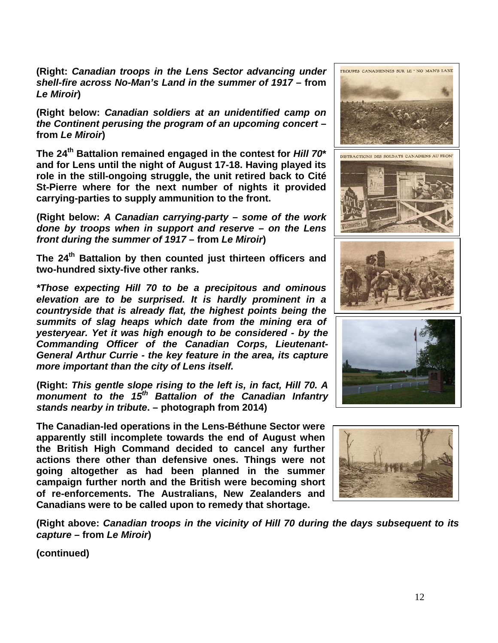**(Right:** *Canadian troops in the Lens Sector advancing under shell-fire across No-Man's Land in the summer of 1917* **– from**  *Le Miroir***)**

**(Right below:** *Canadian soldiers at an unidentified camp on the Continent perusing the program of an upcoming concert* **– from** *Le Miroir***)**

**The 24th Battalion remained engaged in the contest for** *Hill 70***\* and for Lens until the night of August 17-18. Having played its role in the still-ongoing struggle, the unit retired back to Cité St-Pierre where for the next number of nights it provided carrying-parties to supply ammunition to the front.** 

**(Right below:** *A Canadian carrying-party – some of the work done by troops when in support and reserve – on the Lens front during the summer of 1917* **– from** *Le Miroir***)**

**The 24th Battalion by then counted just thirteen officers and two-hundred sixty-five other ranks.**

*\*Those expecting Hill 70 to be a precipitous and ominous elevation are to be surprised. It is hardly prominent in a countryside that is already flat, the highest points being the summits of slag heaps which date from the mining era of yesteryear. Yet it was high enough to be considered - by the Commanding Officer of the Canadian Corps, Lieutenant-General Arthur Currie - the key feature in the area, its capture more important than the city of Lens itself.*

**(Right:** *This gentle slope rising to the left is, in fact, Hill 70. A monument to the 15th Battalion of the Canadian Infantry stands nearby in tribute***. – photograph from 2014)**

**The Canadian-led operations in the Lens-Béthune Sector were apparently still incomplete towards the end of August when the British High Command decided to cancel any further actions there other than defensive ones. Things were not going altogether as had been planned in the summer campaign further north and the British were becoming short of re-enforcements. The Australians, New Zealanders and Canadians were to be called upon to remedy that shortage.**





**(Right above:** *Canadian troops in the vicinity of Hill 70 during the days subsequent to its capture* **– from** *Le Miroir***)**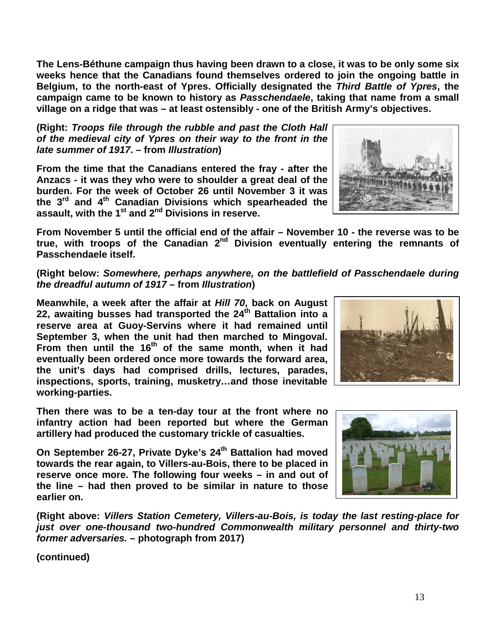13

**The Lens-Béthune campaign thus having been drawn to a close, it was to be only some six weeks hence that the Canadians found themselves ordered to join the ongoing battle in Belgium, to the north-east of Ypres. Officially designated the** *Third Battle of Ypres***, the campaign came to be known to history as** *Passchendaele***, taking that name from a small village on a ridge that was – at least ostensibly - one of the British Army's objectives.**

**(Right:** *Troops file through the rubble and past the Cloth Hall of the medieval city of Ypres on their way to the front in the late summer of 1917***. – from** *Illustration***)**

**From the time that the Canadians entered the fray - after the Anzacs - it was they who were to shoulder a great deal of the burden. For the week of October 26 until November 3 it was the 3rd and 4th Canadian Divisions which spearheaded the assault, with the 1st and 2nd Divisions in reserve.** 

**From November 5 until the official end of the affair – November 10 - the reverse was to be true, with troops of the Canadian 2nd Division eventually entering the remnants of Passchendaele itself.**

**(Right below:** *Somewhere, perhaps anywhere, on the battlefield of Passchendaele during the dreadful autumn of 1917* **– from** *Illustration***)**

**Meanwhile, a week after the affair at** *Hill 70***, back on August 22, awaiting busses had transported the 24<sup>th</sup> Battalion into a reserve area at Guoy-Servins where it had remained until September 3, when the unit had then marched to Mingoval.**  From then until the 16<sup>th</sup> of the same month, when it had **eventually been ordered once more towards the forward area, the unit's days had comprised drills, lectures, parades, inspections, sports, training, musketry…and those inevitable working-parties.**

**Then there was to be a ten-day tour at the front where no infantry action had been reported but where the German artillery had produced the customary trickle of casualties.**

**On September 26-27, Private Dyke's 24th Battalion had moved towards the rear again, to Villers-au-Bois, there to be placed in reserve once more. The following four weeks – in and out of the line – had then proved to be similar in nature to those earlier on.** 

**(Right above:** *Villers Station Cemetery, Villers-au-Bois, is today the last resting-place for just over one-thousand two-hundred Commonwealth military personnel and thirty-two former adversaries.* **– photograph from 2017)**





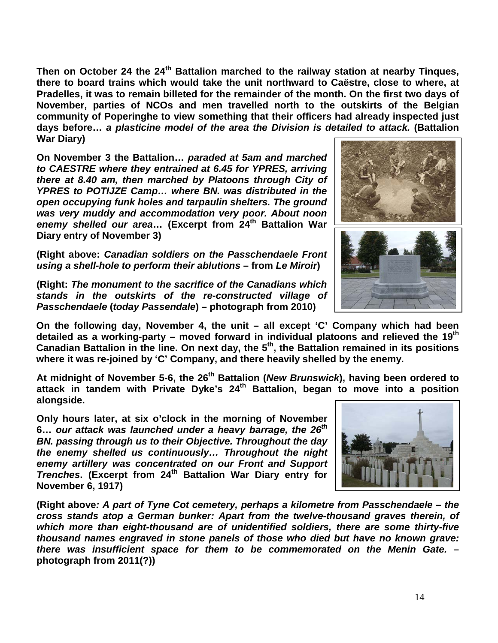**Then on October 24 the 24th Battalion marched to the railway station at nearby Tinques, there to board trains which would take the unit northward to Caëstre, close to where, at Pradelles, it was to remain billeted for the remainder of the month. On the first two days of November, parties of NCOs and men travelled north to the outskirts of the Belgian community of Poperinghe to view something that their officers had already inspected just days before…** *a plasticine model of the area the Division is detailed to attack.* **(Battalion War Diary)**

**On November 3 the Battalion…** *paraded at 5am and marched to CAESTRE where they entrained at 6.45 for YPRES, arriving there at 8.40 am, then marched by Platoons through City of YPRES to POTIJZE Camp… where BN. was distributed in the open occupying funk holes and tarpaulin shelters. The ground was very muddy and accommodation very poor. About noon enemy shelled our area***… (Excerpt from 24th Battalion War Diary entry of November 3)** 

**(Right above:** *Canadian soldiers on the Passchendaele Front using a shell-hole to perform their ablutions* **– from** *Le Miroir***)**

**(Right:** *The monument to the sacrifice of the Canadians which stands in the outskirts of the re-constructed village of Passchendaele* **(***today Passendale***) – photograph from 2010)** 

**On the following day, November 4, the unit – all except 'C' Company which had been detailed as a working-party – moved forward in individual platoons and relieved the 19th Canadian Battalion in the line. On next day, the 5th, the Battalion remained in its positions where it was re-joined by 'C' Company, and there heavily shelled by the enemy.**

At midnight of November 5-6, the 26<sup>th</sup> Battalion (*New Brunswick*), having been ordered to **attack in tandem with Private Dyke's 24th Battalion, began to move into a position alongside.** 

**Only hours later, at six o'clock in the morning of November 6…** *our attack was launched under a heavy barrage, the 26th BN. passing through us to their Objective. Throughout the day the enemy shelled us continuously… Throughout the night enemy artillery was concentrated on our Front and Support Trenches***. (Excerpt from 24th Battalion War Diary entry for November 6, 1917)**



**(Right above***: A part of Tyne Cot cemetery, perhaps a kilometre from Passchendaele – the cross stands atop a German bunker: Apart from the twelve-thousand graves therein, of which more than eight-thousand are of unidentified soldiers, there are some thirty-five thousand names engraved in stone panels of those who died but have no known grave: there was insufficient space for them to be commemorated on the Menin Gate.* **– photograph from 2011(?))**